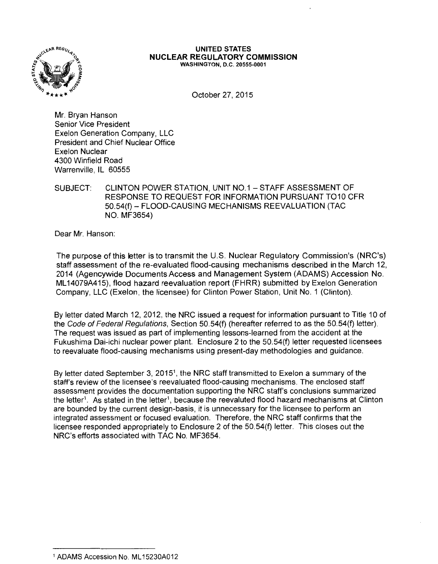

#### **UNITED STATES NUCLEAR REGULATORY COMMISSION**  WASHINGTON, D.C. 20555-0001

October 27, 2015

Mr. Bryan Hanson Senior Vice President Exelon Generation Company, LLC President and Chief Nuclear Office Exelon Nuclear 4300 Winfield Road Warrenville, IL 60555

SUBJECT: CLINTON POWER STATION, UNIT N0.1 -STAFF ASSESSMENT OF RESPONSE TO REQUEST FOR INFORMATION PURSUANT T010 CFR 50.54(f)- FLOOD-CAUSING MECHANISMS REEVALUATION (TAC NO. MF3654)

Dear Mr. Hanson:

The purpose of this letter is to transmit the U.S. Nuclear Regulatory Commission's (NRC's) staff assessment of the re-evaluated flood-causing mechanisms described in the March 12, 2014 (Agencywide Documents Access and Management System (ADAMS) Accession No. ML 14079A415), flood hazard reevaluation report (FHRR) submitted by Exelon Generation Company, LLC (Exelon, the licensee) for Clinton Power Station, Unit No. 1 (Clinton).

By letter dated March 12, 2012, the NRG issued a request for information pursuant to Title 10 of the Code of Federal Regulations, Section 50.54(f) (hereafter referred to as the 50.54(f) letter). The request was issued as part of implementing lessons-learned from the accident at the Fukushima Dai-ichi nuclear power plant. Enclosure 2 to the 50.54(f) letter requested licensees to reevaluate flood-causing mechanisms using present-day methodologies and guidance.

By letter dated September 3, 2015<sup>1</sup>, the NRC staff transmitted to Exelon a summary of the staff's review of the licensee's reevaluated flood-causing mechanisms. The enclosed staff assessment provides the documentation supporting the NRG staff's conclusions summarized the letter<sup>1</sup>. As stated in the letter<sup>1</sup>, because the reevaluted flood hazard mechanisms at Clinton are bounded by the current design-basis, it is unnecessary for the licensee to perform an integrated assessment or focused evaluation. Therefore, the NRG staff confirms that the licensee responded appropriately to Enclosure 2 of the 50.54(f) letter. This closes out the NRC's efforts associated with TAC No. MF3654.

<sup>1</sup> ADAMS Accession No. ML 15230A012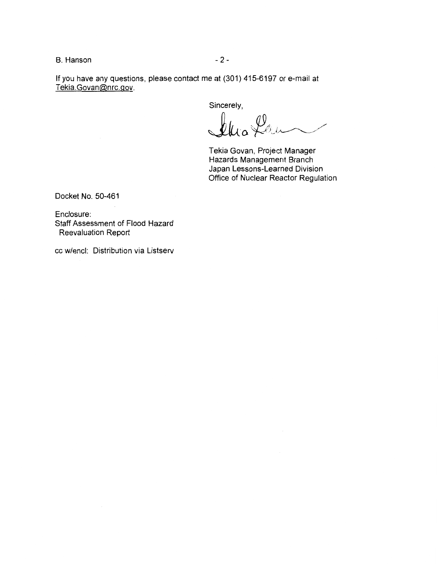B. Hanson **- 2 -** 2 -

If you have any questions, please contact me at (301) 415-6197 or e-mail at Tekia.Govan@nrc.gov.

Sincerely,

240 leur

Tekia Govan, Project Manager Hazards Management Branch Japan Lessons-Learned Division Office of Nuclear Reactor Regulation

Docket No. 50-461

Enclosure: Staff Assessment of Flood Hazard Reevaluation Report

cc w/encl: Distribution via Listserv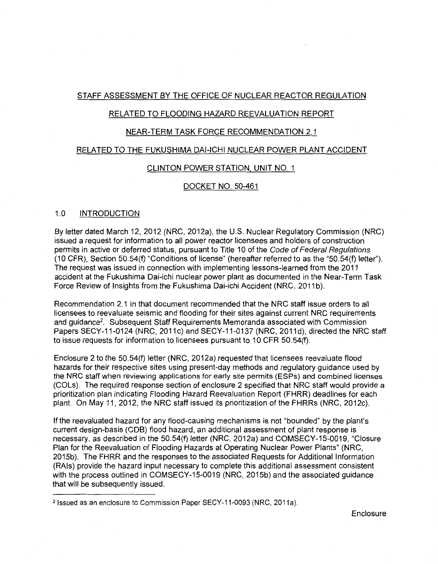# STAFF ASSESSMENT BY THE OFFICE OF NUCLEAR REACTOR REGULATION

# RELATED TO FLOODING HAZARD REEVALUATION REPORT

# NEAR-TERM TASK FORCE RECOMMENDATION 2.1

# RELATED TO THE FUKUSHIMA DAl-ICHI NUCLEAR POWER PLANT ACCIDENT

# CLINTON POWER STATION. UNIT NO. 1

# DOCKET NO. 50-461

# 1.0 INTRODUCTION

By letter dated March 12, 2012 (NRC, 2012a), the U.S. Nuclear Regulatory Commission (NRC) issued a request for information to all power reactor licensees and holders of construction permits in active or deferred status, pursuant to Title 10 of the Code of Federal Regulations (10 CFR), Section 50.54(f) "Conditions of license" (hereafter referred to as the "50.54(f) letter"). The request was issued in connection with implementing lessons-learned from the 2011 accident at the Fukushima Dai-ichi nuclear power plant as documented in the Near-Term Task Force Review of Insights from the Fukushima Dai-ichi Accident (NRC, 2011b).

Recommendation 2.1 in that document recommended that the NRC staff issue orders to all licensees to reevaluate seismic and flooding for their sites against current NRC requirements and guidance2. Subsequent Staff Requirements Memoranda associated with Commission Papers SECY-11-0124 (NRC, 2011c) and SECY-11-0137 (NRC, 2011d), directed the NRC staff to issue requests for information to licensees pursuant to 10 CFR 50.54(f).

Enclosure 2 to the 50.54(f) letter (NRC, 2012a) requested that licensees reevaluate flood hazards for their respective sites using present-day methods and regulatory guidance used by the NRC staff when reviewing applications for early site permits (ESPs) and combined licenses (COLs). The required response section of enclosure 2 specified that NRC staff would provide a prioritization plan indicating Flooding Hazard Reevaluation Report (FHRR) deadlines for each plant. On May 11, 2012, the NRC staff issued its prioritization of the FHRRs (NRC, 2012c).

If the reevaluated hazard for any flood-causing mechanisms is not "bounded" by the plant's current design-basis (COB) flood hazard, an additional assessment of plant response is necessary, as described in the 50.54(f) letter (NRC, 2012a) and COMSECY-15-0019, "Closure Plan for the Reevaluation of Flooding Hazards at Operating Nuclear Power Plants" (NRC, 2015b). The FHRR and the responses to the associated Requests for Additional Information (RAls) provide the hazard input necessary to complete this additional assessment consistent with the process outlined in COMSECY-15-0019 (NRC, 2015b) and the associated guidance that will be subsequently issued.

<sup>&</sup>lt;sup>2</sup> Issued as an enclosure to Commission Paper SECY-11-0093 (NRC, 2011a).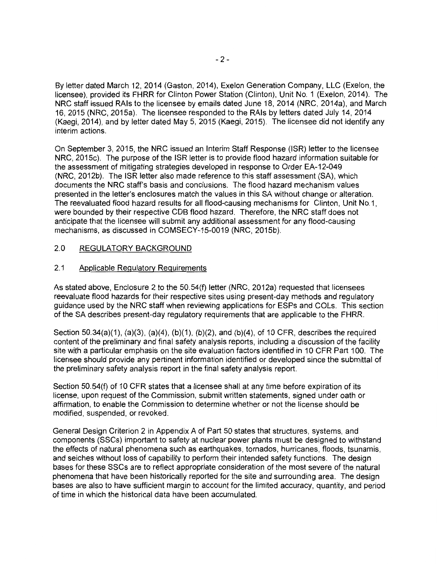By letter dated March 12, 2014 (Gaston, 2014), Exelon Generation Company, LLC (Exelon, the licensee), provided its FHRR for Clinton Power Station (Clinton), Unit No. 1 (Exelon, 2014). The NRC staff issued RAls to the licensee by emails dated June 18, 2014 (NRC, 2014a), and March 16, 2015 (NRC, 2015a). The licensee responded to the RAls by letters dated July 14, 2014 (Kaegi, 2014), and by letter dated May 5, 2015 (Kaegi, 2015). The licensee did not identify any interim actions.

On September 3, 2015, the NRC issued an Interim Staff Response (ISR) letter to the licensee NRC, 2015c). The purpose of the ISR letter is to provide flood hazard information suitable for the assessment of mitigating strategies developed in response to Order EA-12-049 (NRC, 2012b). The ISR letter also made reference to this staff assessment (SA), which documents the NRC staff's basis and conclusions. The flood hazard mechanism values presented in the letter's enclosures match the values in this SA without change or alteration. The reevaluated flood hazard results for all flood-causing mechanisms for Clinton, Unit No.1, were bounded by their respective COB flood hazard. Therefore, the NRC staff does not anticipate that the licensee will submit any additional assessment for any flood-causing mechanisms, as discussed in COMSECY-15-0019 (NRC, 2015b).

# 2.0 REGULATORY BACKGROUND

# 2.1 Applicable Regulatory Requirements

As stated above, Enclosure 2 to the 50.54(f) letter (NRC, 2012a) requested that licensees reevaluate flood hazards for their respective sites using present-day methods and regulatory guidance used by the NRC staff when reviewing applications for ESPs and COLs. This section of the SA describes present-day regulatory requirements that are applicable to the FHRR.

Section 50.34(a)(1), (a)(3), (a)(4), (b)(1), (b)(2), and (b)(4), of 10 CFR, describes the required content of the preliminary and final safety analysis reports, including a discussion of the facility site with a particular emphasis on the site evaluation factors identified in 10 CFR Part 100. The licensee should provide any pertinent information identified or developed since the submittal of the preliminary safety analysis report in the final safety analysis report.

Section 50.54(f) of 10 CFR states that a licensee shall at any time before expiration of its license, upon request of the Commission, submit written statements, signed under oath or affirmation, to enable the Commission to determine whether or not the license should be modified, suspended, or revoked.

General Design Criterion 2 in Appendix A of Part 50 states that structures, systems, and components (SSCs) important to safety at nuclear power plants must be designed to withstand the effects of natural phenomena such as earthquakes, tornados, hurricanes, floods, tsunamis, and seiches without loss of capability to perform their intended safety functions. The design bases for these SSCs are to reflect appropriate consideration of the most severe of the natural phenomena that have been historically reported for the site and surrounding area. The design bases are also to have sufficient margin to account for the limited accuracy, quantity, and period of time in which the historical data have been accumulated.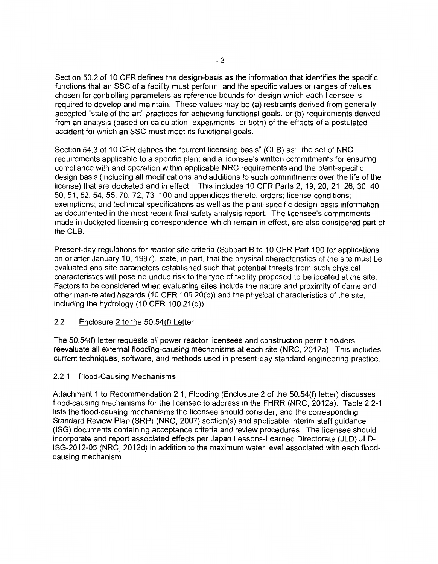Section 50.2 of 10 CFR defines the design-basis as the information that identifies the specific functions that an SSC of a facility must perform, and the specific values or ranges of values chosen for controlling parameters as reference bounds for design which each licensee is required to develop and maintain. These values may be (a) restraints derived from generally accepted "state of the art" practices for achieving functional goals, or (b) requirements derived from an analysis (based on calculation, experiments, or both) of the effects of a postulated accident for which an SSC must meet its functional goals.

Section 54.3 of 10 CFR defines the "current licensing basis" (CLB) as: "the set of NRC requirements applicable to a specific plant and a licensee's written commitments for ensuring compliance with and operation within applicable NRC requirements and the plant-specific design basis (including all modifications and additions to such commitments over the life of the license) that are docketed and in effect." This includes 10 CFR Parts 2, 19, 20, 21, 26, 30, 40, 50, 51, 52, 54, 55, 70, 72, 73, 100 and appendices thereto; orders; license conditions; exemptions; and technical specifications as well as the plant-specific design-basis information as documented in the most recent final safety analysis report. The licensee's commitments made in docketed licensing correspondence, which remain in effect, are also considered part of the CLB.

Present-day regulations for reactor site criteria (Subpart B to 10 CFR Part 100 for applications on or after January 10, 1997), state, in part, that the physical characteristics of the site must be evaluated and site parameters established such that potential threats from such physical characteristics will pose no undue risk to the type of facility proposed to be located at the site. Factors to be considered when evaluating sites include the nature and proximity of dams and other man-related hazards (10 CFR 100.20(b)) and the physical characteristics of the site, including the hydrology (10 CFR 100.21(d)).

# 2.2 Enclosure 2 to the 50.54(f) Letter

The 50.54(f) letter requests all power reactor licensees and construction permit holders reevaluate all external flooding-causing mechanisms at each site (NRC, 2012a). This includes current techniques, software, and methods used in present-day standard engineering practice.

## 2.2.1 Flood-Causing Mechanisms

Attachment 1 to Recommendation 2.1, Flooding (Enclosure 2 of the 50.54(f) letter) discusses flood-causing mechanisms for the licensee to address in the FHRR (NRC, 2012a). Table 2.2-1 lists the flood-causing mechanisms the licensee should consider, and the corresponding Standard Review Plan (SRP) (NRC, 2007) section(s) and applicable interim staff guidance (ISG) documents containing acceptance criteria and review procedures. The licensee should incorporate and report associated effects per Japan Lessons-Learned Directorate (JLD) JLD-ISG-2012-05 (NRC, 2012d) in addition to the maximum water level associated with each floodcausing mechanism.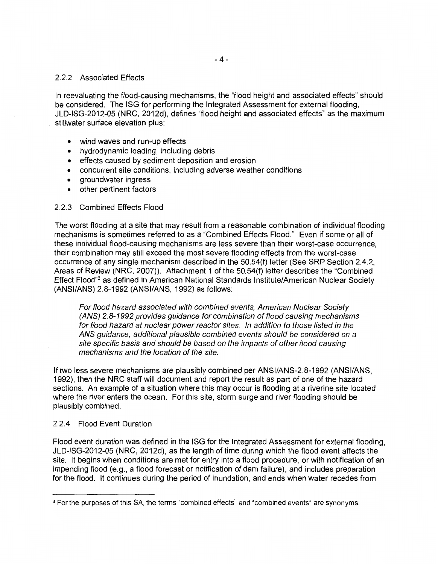#### 2.2.2 Associated Effects

In reevaluating the flood-causing mechanisms, the "flood height and associated effects" should be considered. The ISG for performing the Integrated Assessment for external flooding, JLD-ISG-2012-05 (NRC, 2012d), defines "flood height and associated effects" as the maximum stillwater surface elevation plus:

- wind waves and run-up effects
- hydrodynamic loading, including debris
- effects caused by sediment deposition and erosion
- concurrent site conditions, including adverse weather conditions
- groundwater ingress
- other pertinent factors

## 2.2.3 Combined Effects Flood

The worst flooding at a site that may result from a reasonable combination of individual flooding mechanisms is sometimes referred to as a "Combined Effects Flood." Even if some or all of these individual flood-causing mechanisms are less severe than their worst-case occurrence, their combination may still exceed the most severe flooding effects from the worst-case occurrence of any single mechanism described in the 50.54(f) letter (See SRP Section 2.4.2, Areas of Review (NRC, 2007)). Attachment 1 of the 50.54(f) letter describes the "Combined Effect Flood"<sup>3</sup>as defined in American National Standards Institute/American Nuclear Society (ANSI/ANS) 2.8-1992 (ANSI/ANS, 1992) as follows:

For flood hazard associated with combined events, American Nuclear Society (ANS) 2. 8-1992 provides guidance for combination of flood causing mechanisms for flood hazard at nuclear power reactor sites. In addition to those listed in the ANS guidance, additional plausible combined events should be considered on a site specific basis and should be based on the impacts of other flood causing mechanisms and the location of the site.

If two less severe mechanisms are plausibly combined per ANSl/ANS-2.8-1992 (ANSI/ANS, 1992), then the NRC staff will document and report the result as part of one of the hazard sections. An example of a situation where this may occur is flooding at a riverine site located where the river enters the ocean. For this site, storm surge and river flooding should be plausibly combined.

## 2.2.4 Flood Event Duration

Flood event duration was defined in the ISG for the Integrated Assessment for external flooding, JLD-ISG-2012-05 (NRC, 2012d), as the length of time during which the flood event affects the site. It begins when conditions are met for entry into a flood procedure, or with notification of an impending flood (e.g., a flood forecast or notification of dam failure), and includes preparation for the flood. It continues during the period of inundation, and ends when water recedes from

<sup>&</sup>lt;sup>3</sup> For the purposes of this SA, the terms "combined effects" and "combined events" are synonyms.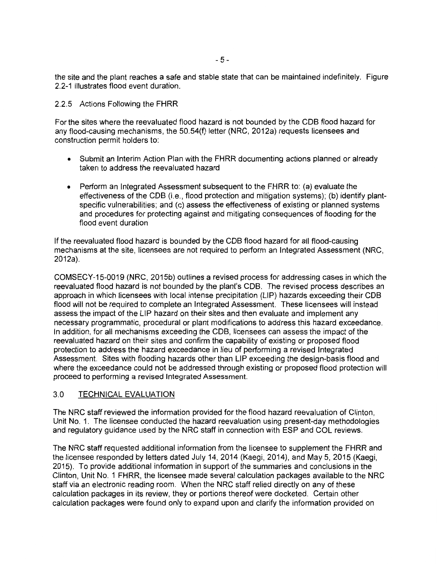the site and the plant reaches a safe and stable state that can be maintained indefinitely. Figure 2.2-1 illustrates flood event duration.

2.2.5 Actions Following the FHRR

For the sites where the reevaluated flood hazard is not bounded by the COB flood hazard for any flood-causing mechanisms, the 50.54(f) letter (NRC, 2012a) requests licensees and construction permit holders to:

- Submit an Interim Action Plan with the FHRR documenting actions planned or already taken to address the reevaluated hazard
- Perform an Integrated Assessment subsequent to the FHRR to: (a) evaluate the effectiveness of the COB (i.e., flood protection and mitigation systems); (b) identify plantspecific vulnerabilities; and (c) assess the effectiveness of existing or planned systems and procedures for protecting against and mitigating consequences of flooding for the flood event duration

If the reevaluated flood hazard is bounded by the COB flood hazard for all flood-causing mechanisms at the site, licensees are not required to perform an Integrated Assessment (NRC, 2012a).

COMSECY-15-0019 (NRC, 2015b) outlines a revised process for addressing cases in which the reevaluated flood hazard is not bounded by the plant's COB. The revised process describes an approach in which licensees with local intense precipitation (LIP) hazards exceeding their COB flood will not be required to complete an Integrated Assessment. These licensees will instead assess the impact of the LIP hazard on their sites and then evaluate and implement any necessary programmatic, procedural or plant modifications to address this hazard exceedance. In addition, for all mechanisms exceeding the CDB, licensees can assess the impact of the reevaluated hazard on their sites and confirm the capability of existing or proposed flood protection to address the hazard exceedance in lieu of performing a revised Integrated Assessment. Sites with flooding hazards other than LIP exceeding the design-basis flood and where the exceedance could not be addressed through existing or proposed flood protection will proceed to performing a revised Integrated Assessment.

## 3.0 TECHNICAL EVALUATION

The NRC staff reviewed the information provided for the flood hazard reevaluation of Clinton, Unit No. 1. The licensee conducted the hazard reevaluation using present-day methodologies and regulatory guidance used by the NRC staff in connection with ESP and COL reviews.

The NRC staff requested additional information from the licensee to supplement the FHRR and the licensee responded by letters dated July 14, 2014 (Kaegi, 2014), and May 5, 2015 (Kaegi, 2015). To provide additional information in support of the summaries and conclusions in the Clinton, Unit No. 1 FHRR, the licensee made several calculation packages available to the NRC staff via an electronic reading room. When the NRC staff relied directly on any of these calculation packages in its review, they or portions thereof were docketed. Certain other calculation packages were found only to expand upon and clarify the information provided on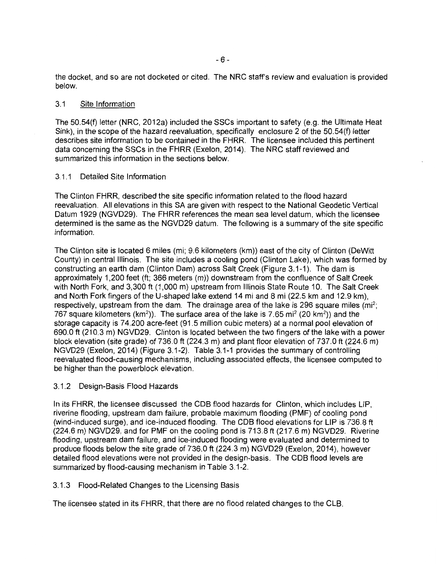the docket, and so are not docketed or cited. The NRC staff's review and evaluation is provided below.

#### 3.1 Site Information

The 50.54(f) letter (NRC, 2012a) included the SSCs important to safety (e.g. the Ultimate Heat Sink), in the scope of the hazard reevaluation, specifically enclosure 2 of the 50.54(f) letter describes site information to be contained in the FHRR. The licensee included this pertinent data concerning the SSCs in the FHRR (Exelon, 2014). The NRC staff reviewed and summarized this information in the sections below.

## 3.1.1 Detailed Site Information

The Clinton FHRR, described the site specific information related to the flood hazard reevaluation. All elevations in this SA are given with respect to the National Geodetic Vertical Datum 1929 (NGVD29). The FHRR references the mean sea level datum, which the licensee determined is the same as the NGVD29 datum. The following is a summary of the site specific information.

The Clinton site is located 6 miles (mi; 9.6 kilometers (km)) east of the city of Clinton (DeWitt County) in central Illinois. The site includes a cooling pond (Clinton Lake), which was formed by constructing an earth dam (Clinton Dam) across Salt Creek (Figure 3.1-1). The dam is approximately 1,200 feet (ft; 366 meters (m)) downstream from the confluence of Salt Creek with North Fork, and 3,300 ft (1,000 m) upstream from Illinois State Route 10. The Salt Creek and North Fork fingers of the U-shaped lake extend 14 mi and 8 mi (22.5 km and 12.9 km), respectively, upstream from the dam. The drainage area of the lake is 296 square miles (mi<sup>2</sup>; 767 square kilometers (km<sup>2</sup>)). The surface area of the lake is 7.65 mi<sup>2</sup> (20 km<sup>2</sup>)) and the storage capacity is 74,200 acre-feet (91.5 million cubic meters) at a normal pool elevation of 690.0 ft (210.3 m) NGVD29. Clinton is located between the two fingers of the lake with a power block elevation (site grade) of 736.0 ft (224.3 m) and plant floor elevation of 737.0 ft (224.6 m) NGVD29 (Exelon, 2014) (Figure 3.1-2). Table 3.1-1 provides the summary of controlling reevaluated flood-causing mechanisms, including associated effects, the licensee computed to be higher than the powerblock elevation.

## 3.1.2 Design-Basis Flood Hazards

In its FHRR, the licensee discussed the COB flood hazards for Clinton, which includes LIP, riverine flooding, upstream dam failure, probable maximum flooding (PMF) of cooling pond (wind-induced surge), and ice-induced flooding. The COB flood elevations for LIP is 736.8 ft (224.6 m) NGVD29, and for PMF on the cooling pond is 713.8 ft (217.6 m) NGVD29. Riverine flooding, upstream dam failure, and ice-induced flooding were evaluated and determined to produce floods below the site grade of 736.0 ft (224.3 m) NGVD29 (Exelon, 2014), however detailed flood elevations were not provided in the design-basis. The COB flood levels are summarized by flood-causing mechanism in Table 3.1-2.

## 3.1.3 Flood-Related Changes to the Licensing Basis

The licensee stated in its FHRR, that there are no flood related changes to the CLB.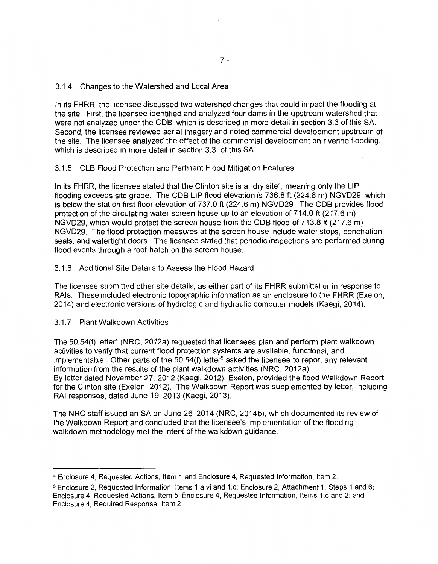# 3.1.4 Changes to the Watershed and Local Area

In its FHRR, the licensee discussed two watershed changes that could impact the flooding at the site. First, the licensee identified and analyzed four dams in the upstream watershed that were not analyzed under the COB, which is described in more detail in section 3.3 of this SA. Second, the licensee reviewed aerial imagery and noted commercial development upstream of the site. The licensee analyzed the effect of the commercial development on riverine flooding, which is described in more detail in section 3.3. of this SA.

# 3.1.5 CLB Flood Protection and Pertinent Flood Mitigation Features

In its FHRR, the licensee stated that the Clinton site is a "dry site", meaning only the LIP flooding exceeds site grade. The COB LIP flood elevation is 736.8 ft (224.6 m) NGVD29, which is below the station first floor elevation of 737.0 ft (224.6 m) NGVD29. The COB provides flood protection of the circulating water screen house up to an elevation of 714.0 ft (217.6 m) NGVD29, which would protect the screen house from the COB flood of 713.8 ft (217.6 m) NGVD29. The flood protection measures at the screen house include water stops, penetration seals, and watertight doors. The licensee stated that periodic inspections are performed during flood events through a roof hatch on the screen house.

# 3.1.6 Additional Site Details to Assess the Flood Hazard

The licensee submitted other site details, as either part of its FHRR submittal or in response to RAls. These included electronic topographic information as an enclosure to the FHRR (Exelon, 2014) and electronic versions of hydrologic and hydraulic computer models (Kaegi, 2014).

# 3.1.7 Plant Walkdown Activities

The 50.54(f) letter<sup>4</sup> (NRC, 2012a) requested that licensees plan and perform plant walkdown activities to verify that current flood protection systems are available, functional, and implementable. Other parts of the 50.54(f) letter<sup>5</sup> asked the licensee to report any relevant information from the results of the plant walkdown activities (NRC, 2012a). By letter dated November 27, 2012 (Kaegi, 2012), Exelon, provided the flood Walkdown Report for the Clinton site (Exelon, 2012). The Walkdown Report was supplemented by letter, including RAI responses, dated June 19, 2013 (Kaegi, 2013).

The NRC staff issued an SA on June 26, 2014 (NRC, 2014b), which documented its review of the Walkdown Report and concluded that the licensee's implementation of the flooding walkdown methodology met the intent of the walkdown guidance.

<sup>4</sup>Enclosure 4, Requested Actions, Item 1 and Enclosure 4, Requested Information, Item 2.

<sup>5</sup>Enclosure 2, Requested Information, Items 1.a.vi and 1.c; Enclosure 2, Attachment 1, Steps 1 and 6; Enclosure 4, Requested Actions, Item 5; Enclosure 4, Requested Information, Items 1.c and 2; and Enclosure 4, Required Response, Item 2.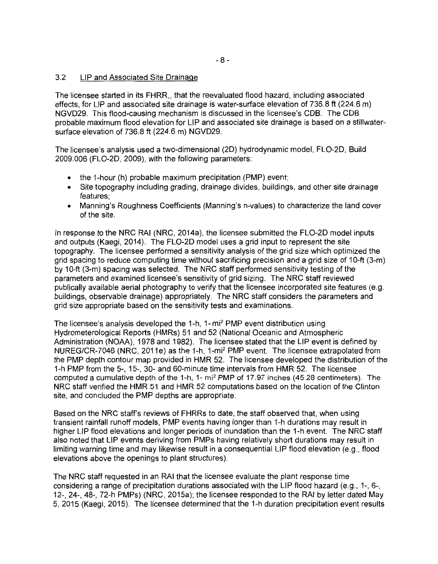#### 3.2 LIP and Associated Site Drainage

The licensee started in its FHRR,, that the reevaluated flood hazard, including associated effects, for LIP and associated site drainage is water-surface elevation of 736.8 ft (224.6 m) NGVD29. This flood-causing mechanism is discussed in the licensee's COB. The COB probable maximum flood elevation for LIP and associated site drainage is based on a stillwatersurface elevation of 736.8 ft (224.6 m) NGVD29.

The licensee's analysis used a two-dimensional (20) hydrodynamic model, FL0-20, Build 2009.006 (FL0-20, 2009), with the following parameters:

- the 1-hour (h) probable maximum precipitation (PMP) event;
- Site topography including grading, drainage divides, buildings, and other site drainage features;
- Manning's Roughness Coefficients (Manning's n-values) to characterize the land cover of the site.

In response to the NRC RAI (NRC, 2014a), the licensee submitted the FL0-20 model inputs and outputs (Kaegi, 2014). The FL0-20 model uses a grid input to represent the site topography. The licensee performed a sensitivity analysis of the grid size which optimized the grid spacing to reduce computing time without sacrificing precision and a grid size of 10-ft (3-m) by 10-ft (3-m) spacing was selected. The NRC staff performed sensitivity testing of the parameters and examined licensee's sensitivity of grid sizing. The NRC staff reviewed publically available aerial photography to verify that the licensee incorporated site features (e.g. buildings, observable drainage) appropriately. The NRC staff considers the parameters and grid size appropriate based on the sensitivity tests and examinations.

The licensee's analysis developed the 1-h, 1- mi2 PMP event distribution using Hydrometerological Reports (HMRs) 51 and 52 (National Oceanic and Atmospheric Administration (NOAA), 1978 and 1982). The licensee stated that the LIP event is defined by NUREG/CR-7046 (NRC, 2011e) as the 1-h, 1-mi2 PMP event. The licensee extrapolated from the PMP depth contour map provided in HMR 52. The licensee developed the distribution of the 1-h PMP from the 5-, 15-, 30- and 60-minute time intervals from HMR 52. The licensee computed a cumulative depth of the 1-h, 1- mi2 PMP of 17. 97 inches (45.28 centimeters). The NRC staff verified the HMR 51 and HMR 52 computations based on the location of the Clinton site, and concluded the PMP depths are appropriate.

Based on the NRC staff's reviews of FHRRs to date, the staff observed that, when using transient rainfall runoff models, PMP events having longer than 1-h durations may result in higher LIP flood elevations and longer periods of inundation than the 1-h event. The NRC staff also noted that LIP events deriving from PMPs having relatively short durations may result in limiting warning time and may likewise result in a consequential LIP flood elevation (e.g., flood elevations above the openings to plant structures).

The NRC staff requested in an RAI that the licensee evaluate the plant response time considering a range of precipitation durations associated with the LIP flood hazard (e.g., 1-, 6-, 12-, 24-, 48-, 72-h PMPs) (NRC, 2015a); the licensee responded to the RAI by letter dated May 5, 2015 (Kaegi, 2015). The licensee determined that the 1-h duration precipitation event results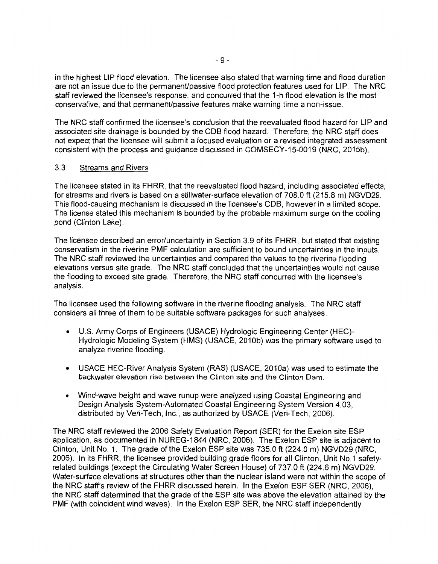in the highest LIP flood elevation. The licensee also stated that warning time and flood duration are not an issue due to the permanent/passive flood protection features used for LIP. The NRC staff reviewed the licensee's response, and concurred that the 1-h flood elevation is the most conservative, and that permanent/passive features make warning time a non-issue.

The NRC staff confirmed the licensee's conclusion that the reevaluated flood hazard for LIP and associated site drainage is bounded by the COB flood hazard. Therefore, the NRC staff does not expect that the licensee will submit a focused evaluation or a revised integrated assessment consistent with the process and guidance discussed in COMSECY-15-0019 (NRC, 2015b).

# 3.3 Streams and Rivers

The licensee stated in its FHRR, that the reevaluated flood hazard, including associated effects, for streams and rivers is based on a stillwater-surface elevation of 708.0 ft (215.8 m) NGVD29. This flood-causing mechanism is discussed in the licensee's COB, however in a limited scope. The license stated this mechanism is bounded by the probable maximum surge on the cooling pond (Clinton Lake).

The licensee described an error/uncertainty in Section 3.9 of its FHRR, but stated that existing conservatism in the riverine PMF calculation are sufficient to bound uncertainties in the inputs. The NRC staff reviewed the uncertainties and compared the values to the riverine flooding elevations versus site grade. The NRC staff concluded that the uncertainties would not cause the flooding to exceed site grade. Therefore, the NRC staff concurred with the licensee's analysis.

The licensee used the following software in the riverine flooding analysis. The NRC staff considers all three of them to be suitable software packages for such analyses.

- U.S. Army Corps of Engineers (USAGE) Hydrologic Engineering Center (HEC)- Hydrologic Modeling System (HMS) (USAGE, 2010b) was the primary software used to analyze riverine flooding.
- USACE HEC-River Analysis System (RAS) (USACE, 2010a) was used to estimate the backwater elevation rise between the Clinton site and the Clinton Dam.
- Wind-wave height and wave runup were analyzed using Coastal Engineering and Design Analysis System-Automated Coastal Engineering System Version 4.03, distributed by Veri-Tech, Inc., as authorized by USAGE (Veri-Tech, 2006).

The NRC staff reviewed the 2006 Safety Evaluation Report (SER) for the Exelon site ESP application, as documented in NUREG-1844 (NRC, 2006). The Exelon ESP site is adjacent to Clinton, Unit No. 1. The grade of the Exelon ESP site was 735.0 ft (224.0 m) NGVD29 (NRC, 2006). In its FHRR, the licensee provided building grade floors for all Clinton, Unit No.1 safetyrelated buildings (except the Circulating Water Screen House) of 737.0 ft (224.6 m) NGVD29. Water-surface elevations at structures other than the nuclear island were not within the scope of the NRC staff's review of the FHRR discussed herein. In the Exelon ESP SER (NRC, 2006), the NRC staff determined that the grade of the ESP site was above the elevation attained by the PMF (with coincident wind waves). In the Exelon ESP SER, the NRC staff independently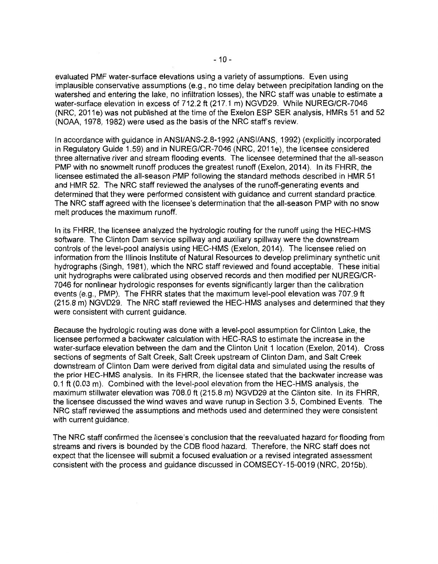evaluated PMF water-surface elevations using a variety of assumptions. Even using implausible conservative assumptions (e.g., no time delay between precipitation landing on the watershed and entering the lake, no infiltration losses), the NRC staff was unable to estimate a water-surface elevation in excess of 712.2 ft (217.1 m) NGVD29. While NUREG/CR-7046 (NRC, 2011e) was not published at the time of the Exelon ESP SER analysis, HMRs 51 and 52 (NOAA, 1978, 1982) were used as the basis of the NRC staff's review.

In accordance with guidance in ANSl/ANS-2.8-1992 (ANSI/ANS, 1992) (explicitly incorporated in Regulatory Guide 1.59) and in NUREG/CR-7046 (NRC, 2011e), the licensee considered three alternative river and stream flooding events. The licensee determined that the all-season PMP with no snowmelt runoff produces the greatest runoff (Exelon, 2014). In its FHRR, the licensee estimated the all-season PMP following the standard methods described in HMR 51 and HMR 52. The NRC staff reviewed the analyses of the runoff-generating events and determined that they were performed consistent with guidance and current standard practice. The NRC staff agreed with the licensee's determination that the all-season PMP with no snow melt produces the maximum runoff.

In its FHRR, the licensee analyzed the hydrologic routing for the runoff using the HEC-HMS software. The Clinton Dam service spillway and auxiliary spillway were the downstream controls of the level-pool analysis using HEC-HMS (Exelon, 2014). The licensee relied on information from the Illinois Institute of Natural Resources to develop preliminary synthetic unit hydrographs (Singh, 1981), which the NRC staff reviewed and found acceptable. These initial unit hydrographs were calibrated using observed records and then modified per NUREG/CR-7046 for nonlinear hydrologic responses for events significantly larger than the calibration events (e.g., PMP). The FHRR states that the maximum level-pool elevation was 707.9 ft (215.8 m) NGVD29. The NRC staff reviewed the HEC-HMS analyses and determined that they were consistent with current guidance.

Because the hydrologic routing was done with a level-pool assumption for Clinton Lake, the licensee performed a backwater calculation with HEC-RAS to estimate the increase in the water-surface elevation between the dam and the Clinton Unit 1 location (Exelon, 2014). Cross sections of segments of Salt Creek, Salt Creek upstream of Clinton Dam, and Salt Creek downstream of Clinton Dam were derived from digital data and simulated using the results of the prior HEC-HMS analysis. In its FHRR, the licensee stated that the backwater increase was 0.1 ft (0.03 m). Combined with the level-pool elevation from the HEC-HMS analysis, the maximum stillwater elevation was 708.0 ft (215.8 m) NGVD29 at the Clinton site. In its FHRR, the licensee discussed the wind waves and wave runup in Section 3.5, Combined Events. The NRC staff reviewed the assumptions and methods used and determined they were consistent with current guidance.

The NRC staff confirmed the licensee's conclusion that the reevaluated hazard for flooding from streams and rivers is bounded by the COB flood hazard. Therefore, the NRC staff does not expect that the licensee will submit a focused evaluation or a revised integrated assessment consistent with the process and guidance discussed in COMSECY-15-0019 (NRC, 2015b).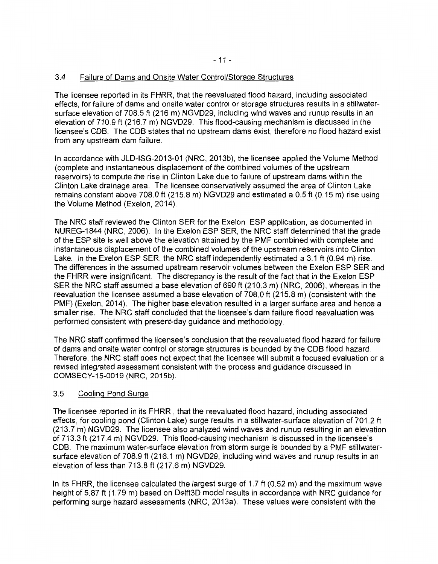# 3.4 Failure of Dams and Onsite Water Control/Storage Structures

The licensee reported in its FHRR, that the reevaluated flood hazard, including associated effects, for failure of dams and onsite water control or storage structures results in a stillwatersurface elevation of 708.5 ft (216 m) NGVD29, including wind waves and runup results in an elevation of 710.9 ft (216.7 m) NGVD29. This flood-causing mechanism is discussed in the licensee's COB. The COB states that no upstream dams exist, therefore no flood hazard exist from any upstream dam failure.

In accordance with JLD-ISG-2013-01 (NRC, 2013b), the licensee applied the Volume Method (complete and instantaneous displacement of the combined volumes of the upstream reservoirs) to compute the rise in Clinton Lake due to failure of upstream dams within the Clinton Lake drainage area. The licensee conservatively assumed the area of Clinton Lake remains constant above 708.0 ft (215.8 m) NGVD29 and estimated a 0.5 ft (0.15 m) rise using the Volume Method (Exelon, 2014).

The NRC staff reviewed the Clinton SER for the Exelon ESP application, as documented in NUREG-1844 (NRC, 2006). In the Exelon ESP SER, the NRC staff determined that the grade of the ESP site is well above the elevation attained by the PMF combined with complete and instantaneous displacement of the combined volumes of the upstream reservoirs into Clinton Lake. In the Exelon ESP SER, the NRC staff independently estimated a 3.1 ft (0.94 m) rise. The differences in the assumed upstream reservoir volumes between the Exelon ESP SER and the FHRR were insignificant. The discrepancy is the result of the fact that in the Exelon ESP SER the NRC staff assumed a base elevation of 690 ft (210.3 m) (NRC, 2006), whereas in the reevaluation the licensee assumed a base elevation of 708.0 ft (215.8 m) (consistent with the PMF) (Exelon, 2014). The higher base elevation resulted in a larger surface area and hence a smaller rise. The NRC staff concluded that the licensee's dam failure flood reevaluation was performed consistent with present-day guidance and methodology.

The NRC staff confirmed the licensee's conclusion that the reevaluated flood hazard for failure of dams and onsite water control or storage structures is bounded by the COB flood hazard. Therefore, the NRC staff does not expect that the licensee will submit a focused evaluation or a revised integrated assessment consistent with the process and guidance discussed in COMSECY-15-0019 (NRC, 2015b).

## 3.5 Cooling Pond Surge

The licensee reported in its FHRR , that the reevaluated flood hazard, including associated effects, for cooling pond (Clinton Lake) surge results in a stillwater-surface elevation of 701.2 ft (213.7 m) NGVD29. The licensee also analyzed wind waves and runup resulting in an elevation of 713.3 ft (217.4 m) NGVD29. This flood-causing mechanism is discussed in the licensee's COB. The maximum water-surface elevation from storm surge is bounded by a PMF stillwatersurface elevation of 708.9 ft (216.1 m) NGVD29, including wind waves and runup results in an elevation of less than 713.8 ft (217.6 m) NGVD29.

In its FHRR, the licensee calculated the largest surge of 1.7 ft (0.52 m) and the maximum wave height of 5.87 ft (1.79 m) based on Delft3D model results in accordance with NRC guidance for performing surge hazard assessments (NRC, 2013a). These values were consistent with the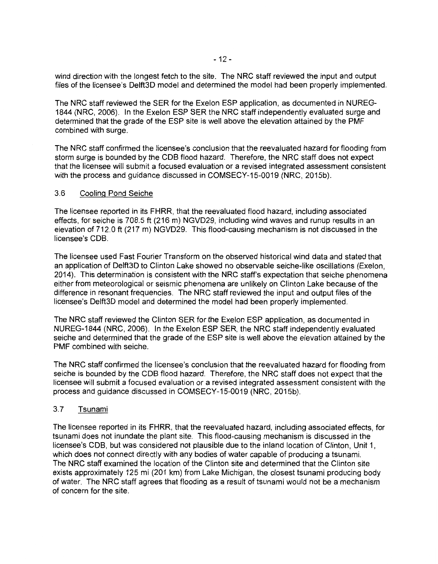wind direction with the longest fetch to the site. The NRC staff reviewed the input and output files of the licensee's Delft3D model and determined the model had been properly implemented.

The NRC staff reviewed the SER for the Exelon ESP application, as documented in NUREG-1844 (NRC, 2006). In the Exelon ESP SER the NRC staff independently evaluated surge and determined that the grade of the ESP site is well above the elevation attained by the PMF combined with surge.

The NRC staff confirmed the licensee's conclusion that the reevaluated hazard for flooding from storm surge is bounded by the CDS flood hazard. Therefore, the NRC staff does not expect that the licensee will submit a focused evaluation or a revised integrated assessment consistent with the process and guidance discussed in COMSECY-15-0019 (NRC, 2015b).

#### 3.6 Cooling Pond Seiche

The licensee reported in its FHRR, that the reevaluated flood hazard, including associated effects, for seiche is 708.5 ft (216 m) NGVD29, including wind waves and runup results in an elevation of 712.0 ft (217 m) NGVD29. This flood-causing mechanism is not discussed in the licensee's CDS.

The licensee used Fast Fourier Transform on the observed historical wind data and stated that an application of Delft3D to Clinton Lake showed no observable seiche-like oscillations (Exelon, 2014). This determination is consistent with the NRC staff's expectation that seiche phenomena either from meteorological or seismic phenomena are unlikely on Clinton Lake because of the difference in resonant frequencies. The NRC staff reviewed the input and output files of the licensee's Delft3D model and determined the model had been properly implemented.

The NRC staff reviewed the Clinton SER for the Exelon ESP application, as documented in NUREG-1844 (NRC, 2006). In the Exelon ESP SER, the NRC staff independently evaluated seiche and determined that the grade of the ESP site is well above the elevation attained by the PMF combined with seiche.

The NRC staff confirmed the licensee's conclusion that the reevaluated hazard for flooding from seiche is bounded by the COB flood hazard. Therefore, the NRC staff does not expect that the licensee will submit a focused evaluation or a revised integrated assessment consistent with the process and guidance discussed in COMSECY-15-0019 (NRC, 2015b).

## 3.7 Tsunami

The licensee reported in its FHRR, that the reevaluated hazard, including associated effects, for tsunami does not inundate the plant site. This flood-causing mechanism is discussed in the licensee's CDS, but was considered not plausible due to the inland location of Clinton, Unit 1, which does not connect directly with any bodies of water capable of producing a tsunami. The NRC staff examined the location of the Clinton site and determined that the Clinton site exists approximately 125 mi (201 km) from Lake Michigan, the closest tsunami producing body of water. The NRC staff agrees that flooding as a result of tsunami would not be a mechanism of concern for the site.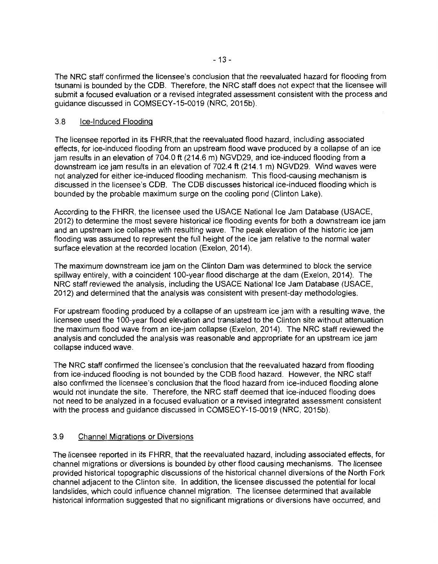The NRC staff confirmed the licensee's conclusion that the reevaluated hazard for flooding from tsunami is bounded by the COB. Therefore, the NRC staff does not expect that the licensee will submit a focused evaluation or a revised integrated assessment consistent with the process and guidance discussed in COMSECY-15-0019 (NRC, 2015b).

## 3.8 Ice-Induced Flooding

The licensee reported in its FHRR,that the reevaluated flood hazard, including associated effects, for ice-induced flooding from an upstream flood wave produced by a collapse of an ice jam results in an elevation of 704.0 ft (214.6 m) NGVD29, and ice-induced flooding from a downstream ice jam results in an elevation of 702.4 ft (214.1 m) NGVD29. Wind waves were not analyzed for either ice-induced flooding mechanism. This flood-causing mechanism is discussed in the licensee's COB. The COB discusses historical ice-induced flooding which is bounded by the probable maximum surge on the cooling pond (Clinton Lake).

According to the FHRR, the licensee used the USACE National Ice Jam Database (USACE, 2012) to determine the most severe historical ice flooding events for both a downstream ice jam and an upstream ice collapse with resulting wave. The peak elevation of the historic ice jam flooding was assumed to represent the full height of the ice jam relative to the normal water surface elevation at the recorded location (Exelon, 2014).

The maximum downstream ice jam on the Clinton Dam was determined to block the service spillway entirely, with a coincident 100-year flood discharge at the dam (Exelon, 2014). The NRC staff reviewed the analysis, including the USACE National Ice Jam Database (USACE, 2012) and determined that the analysis was consistent with present-day methodologies.

For upstream flooding produced by a collapse of an upstream ice jam with a resulting wave, the licensee used the 100-year flood elevation and translated to the Clinton site without attenuation the maximum flood wave from an ice-jam collapse (Exelon, 2014). The NRC staff reviewed the analysis and concluded the analysis was reasonable and appropriate for an upstream ice jam collapse induced wave.

The NRC staff confirmed the licensee's conclusion that the reevaluated hazard from flooding from ice-induced flooding is not bounded by the COB flood hazard. However, the NRC staff also confirmed the licensee's conclusion that the flood hazard from ice-induced flooding alone would not inundate the site. Therefore, the NRC staff deemed that ice-induced flooding does not need to be analyzed in a focused evaluation or a revised integrated assessment consistent with the process and guidance discussed in COMSECY-15-0019 (NRC, 2015b).

# 3.9 Channel Migrations or Diversions

The licensee reported in its FHRR, that the reevaluated hazard, including associated effects, for channel migrations or diversions is bounded by other flood causing mechanisms. The licensee provided historical topographic discussions of the historical channel diversions of the North Fork channel adjacent to the Clinton site. In addition, the licensee discussed the potential for local landslides, which could influence channel migration. The licensee determined that available historical information suggested that no significant migrations or diversions have occurred, and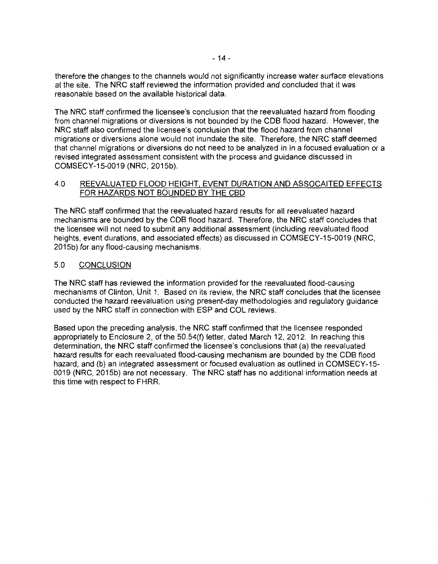therefore the changes to the channels would not significantly increase water surface elevations at the site. The NRC staff reviewed the information provided and concluded that it was reasonable based on the available historical data.

The NRC staff confirmed the licensee's conclusion that the reevaluated hazard from flooding from channel migrations or diversions is not bounded by the COB flood hazard. However, the NRC staff also confirmed the licensee's conclusion that the flood hazard from channel migrations or diversions alone would not inundate the site. Therefore, the NRC staff deemed that channel migrations or diversions do not need to be analyzed in in a focused evaluation or a revised integrated assessment consistent with the process and guidance discussed in COMSECY-15-0019 (NRC, 2015b).

# 4.0 REEVALUATED FLOOD HEIGHT. EVENT DURATION AND ASSOCAITED EFFECTS FOR HAZARDS NOT BOUNDED BY THE CBD

The NRC staff confirmed that the reevaluated hazard results for all reevaluated hazard mechanisms are bounded by the COB flood hazard. Therefore, the NRC staff concludes that the licensee will not need to submit any additional assessment (including reevaluated flood heights, event durations, and associated effects) as discussed in COMSECY-15-0019 (NRC, 2015b) for any flood-causing mechanisms.

# 5.0 CONCLUSION

The NRC staff has reviewed the information provided for the reevaluated flood-causing mechanisms of Clinton, Unit 1. Based on its review, the NRC staff concludes that the licensee conducted the hazard reevaluation using present-day methodologies and regulatory guidance used by the NRC staff in connection with ESP and COL reviews.

Based upon the preceding analysis, the NRC staff confirmed that the licensee responded appropriately to Enclosure 2, of the 50.54(f) letter, dated March 12, 2012. In reaching this determination, the NRC staff confirmed the licensee's conclusions that (a) the reevaluated hazard results for each reevaluated flood-causing mechanism are bounded by the COB flood hazard, and (b) an integrated assessment or focused evaluation as outlined in COMSECY-15- 0019 (NRC, 2015b) are not necessary. The NRC staff has no additional information needs at this time with respect to FHRR.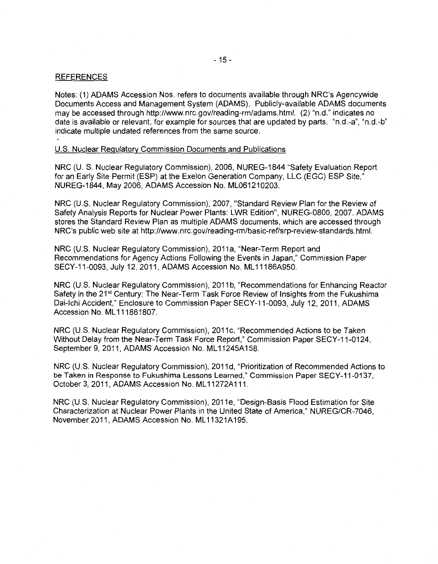#### REFERENCES

Notes: (1) ADAMS Accession Nos. refers to documents available through NRC's Agencywide Documents Access and Management System (ADAMS). Publicly-available ADAMS documents may be accessed through http://www.nrc.gov/reading-rm/adams.html. (2) "n.d." indicates no date is available or relevant, for example for sources that are updated by parts. "n.d.-a", "n.d.-b" indicate multiple undated references from the same source.

#### U.S. Nuclear Regulatory Commission Documents and Publications

NRC (U. S. Nuclear Regulatory Commission), 2006, NUREG-1844 "Safety Evaluation Report for an Early Site Permit (ESP) at the Exelon Generation Company, LLC (EGC) ESP Site," NUREG-1844, May 2006, ADAMS Accession No. ML061210203.

NRC (U.S. Nuclear Regulatory Commission), 2007, "Standard Review Plan for the Review of Safety Analysis Reports for Nuclear Power Plants: LWR Edition", NUREG-0800, 2007. ADAMS stores the Standard Review Plan as multiple ADAMS documents, which are accessed through NRC's public web site at http://www.nrc.gov/reading-rm/basic-ref/srp-review-standards.html.

NRC (U.S. Nuclear Regulatory Commission), 2011a, "Near-Term Report and Recommendations for Agency Actions Following the Events in Japan," Commission Paper SECY-11-0093, July 12, 2011, ADAMS Accession No. ML 11186A950.

NRC (U.S. Nuclear Regulatory Commission), 2011 b, "Recommendations for Enhancing Reactor Safety in the 21<sup>st</sup> Century: The Near-Term Task Force Review of Insights from the Fukushima Dai-lchi Accident," Enclosure to Commission Paper SECY-11-0093, July 12, 2011, ADAMS Accession No. ML 111861807.

NRC (U.S. Nuclear Regulatory Commission), 2011c, "Recommended Actions to be Taken Without Delay from the Near-Term Task Force Report," Commission Paper SECY-11-0124, September 9, 2011, ADAMS Accession No. ML11245A158.

NRC (U.S. Nuclear Regulatory Commission), 2011 d, "Prioritization of Recommended Actions to be Taken in Response to Fukushima Lessons Learned," Commission Paper SECY-11-0137, October 3, 2011, ADAMS Accession No. ML11272A111.

NRC (U.S. Nuclear Regulatory Commission), 2011 e, "Design-Basis Flood Estimation for Site Characterization at Nuclear Power Plants in the United State of America," NUREG/CR-7046, November 2011, ADAMS Accession No. ML 11321A195.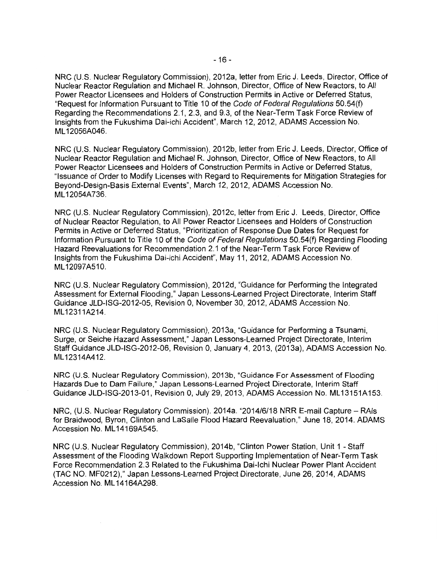NRC (U.S. Nuclear Regulatory Commission), 2012a, letter from Eric J. Leeds, Director, Office of Nuclear Reactor Regulation and Michael R. Johnson, Director, Office of New Reactors, to All Power Reactor Licensees and Holders of Construction Permits in Active or Deferred Status, "Request for Information Pursuant to Title 10 of the Code of Federal Regulations 50.54(f) Regarding the Recommendations 2.1, 2.3, and 9.3, of the Near-Term Task Force Review of Insights from the Fukushima Dai-ichi Accident", March 12, 2012, ADAMS Accession No. ML 12056A046.

NRC (U.S. Nuclear Regulatory Commission), 2012b, letter from Eric J. Leeds, Director, Office of Nuclear Reactor Regulation and Michael R. Johnson, Director, Office of New Reactors, to All Power Reactor Licensees and Holders of Construction Permits in Active or Deferred Status, "Issuance of Order to Modify Licenses with Regard to Requirements for Mitigation Strategies for Beyond-Design-Basis External Events", March 12, 2012, ADAMS Accession No. ML 12054A736.

NRC (U.S. Nuclear Regulatory Commission), 2012c, letter from Eric J. Leeds, Director, Office of Nuclear Reactor Regulation, to All Power Reactor Licensees and Holders of Construction Permits in Active or Deferred Status, "Prioritization of Response Due Dates for Request for Information Pursuant to Title 10 of the Code of Federal Regulations 50.54(f) Regarding Flooding Hazard Reevaluations for Recommendation 2.1 of the Near-Term Task Force Review of Insights from the Fukushima Dai-ichi Accident", May 11, 2012, ADAMS Accession No. ML 12097A510.

NRC (U.S. Nuclear Regulatory Commission), 2012d, "Guidance for Performing the Integrated Assessment for External Flooding," Japan Lessons-Learned Project Directorate, Interim Staff Guidance JLD-ISG-2012-05, Revision 0, November 30, 2012, ADAMS Accession No. ML12311A214.

NRC (U.S. Nuclear Regulatory Commission), 2013a, "Guidance for Performing a Tsunami, Surge, or Seiche Hazard Assessment," Japan Lessons-Learned Project Directorate, Interim Staff Guidance JLD-ISG-2012-06, Revision 0, January 4, 2013, (2013a), ADAMS Accession No. ML 12314A412.

NRC (U.S. Nuclear Regulatory Commission), 2013b, "Guidance For Assessment of Flooding Hazards Due to Dam Failure," Japan Lessons-Learned Project Directorate, Interim Staff Guidance JLD-ISG-2013-01, Revision 0, July 29, 2013, ADAMS Accession No. ML 13151A 153.

NRC, (U.S. Nuclear Regulatory Commission). 2014a. "2014/6/18 NRR E-mail Capture - RAIs for Braidwood, Byron, Clinton and LaSalle Flood Hazard Reevaluation," June 18, 2014. ADAMS Accession No. ML 14169A545.

NRC (U.S. Nuclear Regulatory Commission), 2014b, "Clinton Power Station, Unit 1 - Staff Assessment of the Flooding Walkdown Report Supporting Implementation of Near-Term Task Force Recommendation 2.3 Related to the Fukushima Dai-lchi Nuclear Power Plant Accident (TAC NO. MF0212)," Japan Lessons-Learned Project Directorate, June 26, 2014, ADAMS Accession No. ML 14164A298.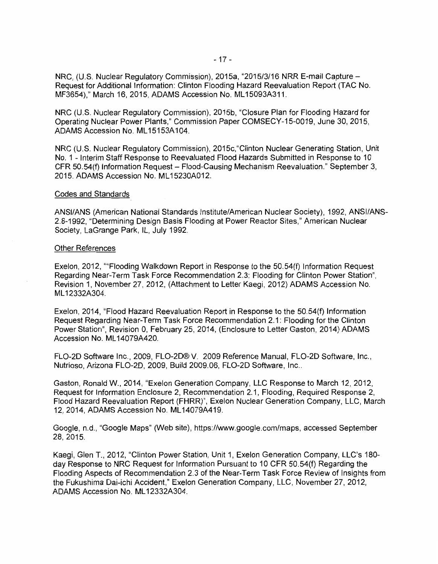- 17 -

NRC, (U.S. Nuclear Regulatory Commission), 2015a, "2015/3/16 NRR E-mail Capture - Request for Additional Information: Clinton Flooding Hazard Reevaluation Report (TAC No. MF3654)," March 16, 2015, ADAMS Accession No. ML 15093A311.

NRC (U.S. Nuclear Regulatory Commission), 2015b, "Closure Plan for Flooding Hazard for Operating Nuclear Power Plants," Commission Paper COMSECY-15-0019, June 30, 2015, ADAMS Accession No. ML 15153A104.

NRC (U.S. Nuclear Regulatory Commission), 2015c,"Clinton Nuclear Generating Station, Unit No. 1 - Interim Staff Response to Reevaluated Flood Hazards Submitted in Response to 10 CFR 50.54(f) Information Request - Flood-Causing Mechanism Reevaluation." September 3, 2015. ADAMS Accession No. ML 15230A012.

#### Codes and Standards

ANSI/ANS (American National Standards Institute/American Nuclear Society), 1992, ANSl/ANS-2.8-1992, "Determining Design Basis Flooding at Power Reactor Sites," American Nuclear Society, LaGrange Park, IL, July 1992.

#### Other References

Exelon, 2012, ""Flooding Walkdown Report in Response to the 50.54(f) Information Request Regarding Near-Term Task Force Recommendation 2.3: Flooding for Clinton Power Station", Revision 1, November 27, 2012, (Attachment to Letter Kaegi, 2012) ADAMS Accession No. ML 12332A304.

Exelon, 2014, "Flood Hazard Reevaluation Report in Response to the 50.54(f) Information Request Regarding Near-Term Task Force Recommendation 2.1: Flooding for the Clinton Power Station", Revision 0, February 25, 2014, (Enclosure to Letter Gaston, 2014) ADAMS Accession No. ML 14079A420.

FL0-2D Software Inc., 2009, FL0-2D® V. 2009 Reference Manual, FL0-2D Software, Inc., Nutrioso, Arizona FLO-2D, 2009, Build 2009.06, FLO-2D Software, Inc..

Gaston, Ronald W., 2014, "Exelon Generation Company, LLC Response to March 12, 2012, Request for Information Enclosure 2, Recommendation 2.1, Flooding, Required Response 2, Flood Hazard Reevaluation Report (FHRR)", Exelon Nuclear Generation Company, LLC, March 12, 2014, ADAMS Accession No. ML 14079A419.

Google, n.d., "Google Maps" (Web site), https://www.google.com/maps, accessed September 28, 2015.

Kaegi, Glen T., 2012, "Clinton Power Station, Unit 1, Exelon Generation Company, LLC's 180 day Response to NRC Request for Information Pursuant to 10 CFR 50.54(f) Regarding the Flooding Aspects of Recommendation 2.3 of the Near-Term Task Force Review of Insights from the Fukushima Dai-ichi Accident," Exelon Generation Company, LLC, November 27, 2012, ADAMS Accession No. ML 12332A304.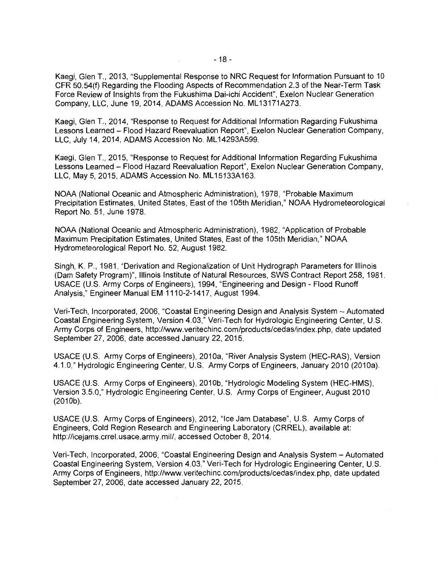Kaegi, Glen T., 2013, "Supplemental Response to NRC Request for Information Pursuant to 10 CFR 50.54(f) Regarding the Flooding Aspects of Recommendation 2.3 of the Near-Term Task Force Review of Insights from the Fukushima Dai-ichi Accident", Exelon Nuclear Generation Company, LLC, June 19, 2014, ADAMS Accession No. ML13171A273.

Kaegi, Glen T., 2014, "Response to Request for Additional Information Regarding Fukushima Lessons Learned - Flood Hazard Reevaluation Report", Exelon Nuclear Generation Company, LLC, July 14, 2014, ADAMS Accession No. ML14293A599.

Kaegi, Glen T., 2015, "Response to Request for Additional Information Regarding Fukushima Lessons Learned - Flood Hazard Reevaluation Report", Exelon Nuclear Generation Company, LLC, May 5, 2015, ADAMS Accession No. ML15133A163.

NOAA (National Oceanic and Atmospheric Administration), 1978, "Probable Maximum Precipitation Estimates, United States, East of the 105th Meridian," NOAA Hydrometeorological Report No. 51, June 1978.

NOAA (National Oceanic and Atmospheric Administration), 1982, "Application of Probable Maximum Precipitation Estimates, United States, East of the 105th Meridian," NOAA Hydrometeorological Report No. 52, August 1982.

Singh, K. P., 1981, "Derivation and Regionalization of Unit Hydrograph Parameters for Illinois (Dam Safety Program)", Illinois Institute of Natural Resources, SWS Contract Report 258, 1981. USAGE (U.S. Army Corps of Engineers), 1994, "Engineering and Design - Flood Runoff Analysis," Engineer Manual EM 1110-2-1417, August 1994.

Veri-Tech, Incorporated, 2006, "Coastal Engineering Design and Analysis System - Automated Coastal Engineering System, Version 4.03," Veri-Tech for Hydrologic Engineering Center, U.S. Army Corps of Engineers, http://www.veritechinc.com/products/cedas/index.php, date updated September 27, 2006, date accessed January 22, 2015.

USAGE (U.S. Army Corps of Engineers), 201 Oa, "River Analysis System (HEC-RAS), Version 4.1.0," Hydrologic Engineering Center, U.S. Army Corps of Engineers, January 2010 (2010a).

USAGE (U.S. Army Corps of Engineers), 201 Ob, "Hydrologic Modeling System (HEC-HMS), Version 3.5.0," Hydrologic Engineering Center, U.S. Army Corps of Engineer, August 2010 (2010b).

USAGE (U.S. Army Corps of Engineers), 2012, "Ice Jam Database", U.S. Army Corps of Engineers, Cold Region Research and Engineering Laboratory (CRREL), available at: http://icejams.crrel.usace.army.mil/, accessed October 8, 2014.

Veri-Tech, Incorporated, 2006, "Coastal Engineering Design and Analysis System - Automated Coastal Engineering System, Version 4.03," Veri-Tech for Hydrologic Engineering Center, U.S. Army Corps of Engineers, http://www.veritechinc.com/products/cedas/index.php, date updated September 27, 2006, date accessed January 22, 2015.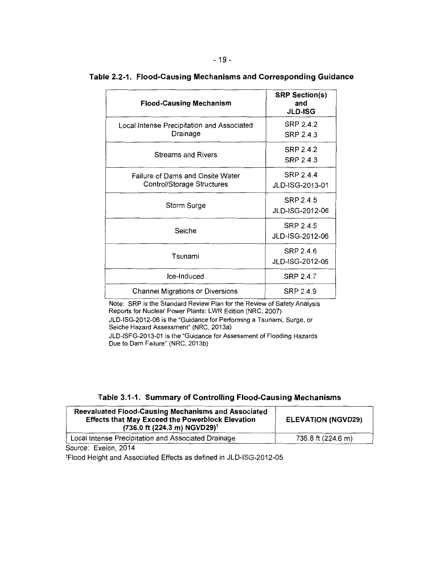| <b>Flood-Causing Mechanism</b>                                 | <b>SRP Section(s)</b><br>and<br><b>JLD-ISG</b> |
|----------------------------------------------------------------|------------------------------------------------|
| Local Intense Precipitation and Associated<br>Drainage         | <b>SRP 2.4.2</b><br>SRP 2.4.3                  |
| <b>Streams and Rivers</b>                                      | SRP 2.4.2<br>SRP 2.4.3                         |
| Failure of Dams and Onsite Water<br>Control/Storage Structures | SRP 2.4.4<br>JLD-ISG-2013-01                   |
| Storm Surge                                                    | SRP 2.4.5<br>JLD-ISG-2012-06                   |
| Seiche                                                         | SRP 2.4.5<br>JLD-ISG-2012-06                   |
| Tsunami                                                        | SRP 2.4.6<br>JLD-ISG-2012-06                   |
| Ice-Induced                                                    | <b>SRP 2.4.7</b>                               |
| <b>Channel Migrations or Diversions</b>                        | SRP 2.4.9                                      |

## **Table 2.2-1. Flood-Causing Mechanisms and Corresponding Guidance**

Note: SRP is the Standard Review Plan for the Review of Safety Analysis Reports for Nuclear Power Plants: LWR Edition (NRC, 2007)

JLD-ISG-2012-06 is the "Guidance for Performing a Tsunami, Surge, or Seiche Hazard Assessment" (NRC, 2013a)

JLD-ISFG-2013-01 is the "Guidance for Assessment of Flooding Hazards Due to Dam Failure" (NRC, 2013b)

|  |  |  | Table 3.1-1. Summary of Controlling Flood-Causing Mechanisms |  |
|--|--|--|--------------------------------------------------------------|--|
|--|--|--|--------------------------------------------------------------|--|

| Reevaluated Flood-Causing Mechanisms and Associated<br><b>Effects that May Exceed the Powerblock Elevation</b><br>(736.0 ft (224.3 m) NGVD29) <sup>1</sup> | <b>ELEVATION (NGVD29)</b> |
|------------------------------------------------------------------------------------------------------------------------------------------------------------|---------------------------|
| Local Intense Precipitation and Associated Drainage                                                                                                        | 736.8 ft (224.6 m)        |

Source: Exelon, 2014

1Flood Height and Associated Effects as defined in JLD-ISG-2012-05.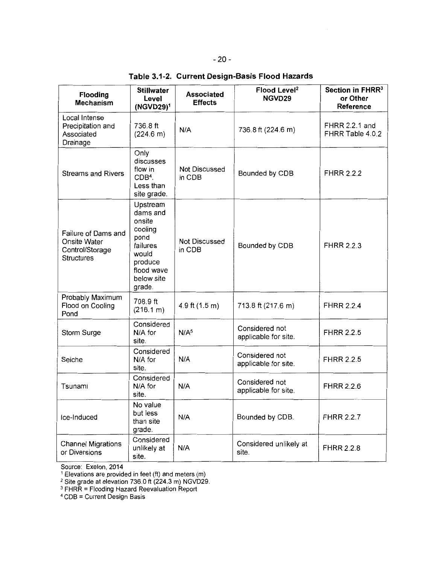| Table 3.1-2. Current Design-Basis Flood Hazards |  |  |  |  |  |
|-------------------------------------------------|--|--|--|--|--|
|-------------------------------------------------|--|--|--|--|--|

| Flooding<br><b>Mechanism</b>                                                | <b>Stillwater</b><br>Level<br>$(NGVD29)^1$                                                                              | <b>Associated</b><br><b>Effects</b> | Flood Level <sup>2</sup><br>NGVD29     | Section in FHRR <sup>3</sup><br>or Other<br>Reference |
|-----------------------------------------------------------------------------|-------------------------------------------------------------------------------------------------------------------------|-------------------------------------|----------------------------------------|-------------------------------------------------------|
| Local Intense<br>Precipitation and<br>Associated<br>Drainage                | 736.8 ft<br>(224.6 m)                                                                                                   | N/A                                 | 736.8 ft (224.6 m)                     | FHRR 2.2.1 and<br>FHRR Table 4.0.2                    |
| <b>Streams and Rivers</b>                                                   | Only<br>discusses<br>flow in<br>CDB <sup>4</sup> .<br>Less than<br>site grade.                                          | <b>Not Discussed</b><br>in CDB      | Bounded by CDB                         | <b>FHRR 2.2.2</b>                                     |
| Failure of Dams and<br>Onsite Water<br>Control/Storage<br><b>Structures</b> | Upstream<br>dams and<br>onsite<br>cooling<br>pond<br>failures<br>would<br>produce<br>flood wave<br>below site<br>grade. | <b>Not Discussed</b><br>in CDB      | Bounded by CDB                         | <b>FHRR 2.2.3</b>                                     |
| Probably Maximum<br>Flood on Cooling<br>Pond                                | 708.9 ft<br>(216.1 m)                                                                                                   | 4.9 ft $(1.5 m)$                    | 713.8 ft (217.6 m)                     | <b>FHRR 2.2.4</b>                                     |
| Storm Surge                                                                 | Considered<br>N/A for<br>site.                                                                                          | N/A <sup>5</sup>                    | Considered not<br>applicable for site. | <b>FHRR 2.2.5</b>                                     |
| Seiche                                                                      | Considered<br>N/A for<br>site.                                                                                          | N/A                                 | Considered not<br>applicable for site. | <b>FHRR 2.2.5</b>                                     |
| Tsunami                                                                     | Considered<br>N/A for<br>site.                                                                                          | N/A                                 | Considered not<br>applicable for site. | <b>FHRR 2.2.6</b>                                     |
| Ice-Induced                                                                 | No value<br>but less<br>than site<br>grade.                                                                             | N/A                                 | Bounded by CDB.                        | <b>FHRR 2.2.7</b>                                     |
| <b>Channel Migrations</b><br>or Diversions                                  | Considered<br>unlikely at<br>site.                                                                                      | N/A                                 | Considered unlikely at<br>site.        | <b>FHRR 2.2.8</b>                                     |

Source: Exelon, 2014

 $1$  Elevations are provided in feet (ft) and meters (m)

2 Site grade at elevation 736.0 ft (224.3 m) NGVD29.

3 FHRR = Flooding Hazard Reevaluation Report

<sup>4</sup>COB = Current Design Basis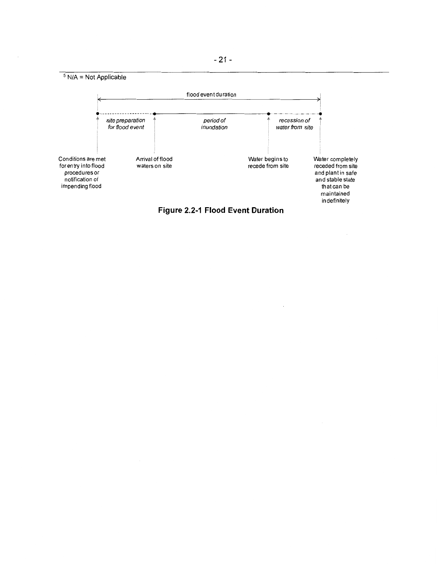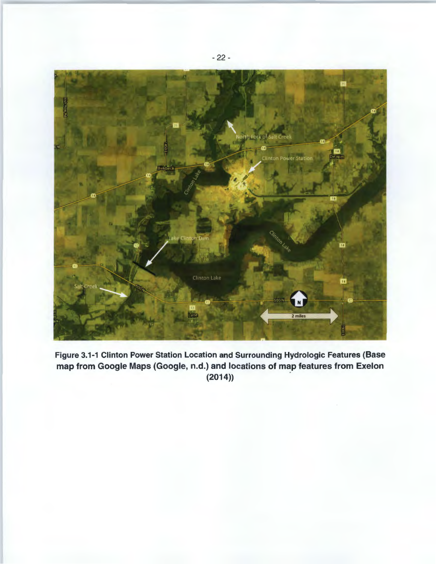

Figure 3.1-1 Clinton Power Station Location and Surrounding Hydrologic Features (Base map from Google Maps (Google, n.d.) and locations of map features from Exelon (2014))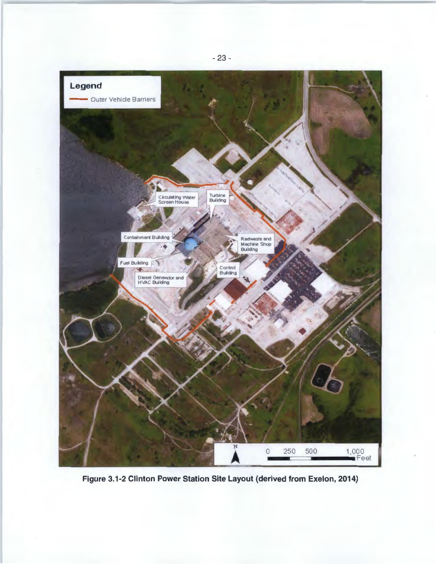

Figure 3.1-2 Clinton Power Station Site Layout (derived from Exelon, 2014)

- 23 -